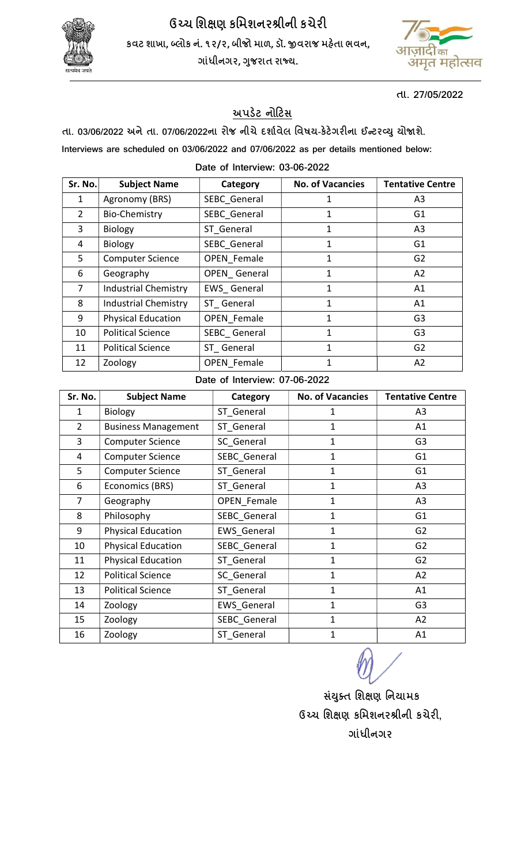

ઉચ્ચ શિક્ષણ કમિશનરશ્રીની કચેરી કવટ શાખા, બ્લોક નં. ૧૨/૨, બીજો માળ, ડૉ. જીવરાજ મહેતા ભવન, ગાંધીનગર, ગુજરાત રાજ્ય.



તા. 27/05/2022

## અપડેટ નોટિસ

તા. 03/06/2022 અને તા. 07/06/2022ના રોજ નીચે દર્શાવેલ વિષય-કેટેગરીના ઈન્ટરવ્યુ યોજાશે.

Interviews are scheduled on 03/06/2022 and 07/06/2022 as per details mentioned below:

## Date of Interview: 03-06-2022

| Sr. No. | <b>Subject Name</b>         | Category           | <b>No. of Vacancies</b> | <b>Tentative Centre</b> |
|---------|-----------------------------|--------------------|-------------------------|-------------------------|
| 1       | Agronomy (BRS)              | SEBC General       | 1                       | A <sub>3</sub>          |
| 2       | <b>Bio-Chemistry</b>        | SEBC_General       | 1                       | G <sub>1</sub>          |
| 3       | <b>Biology</b>              | ST General         | 1                       | A <sub>3</sub>          |
| 4       | <b>Biology</b>              | SEBC General       | 1                       | G1                      |
| 5       | <b>Computer Science</b>     | OPEN Female        | 1                       | G <sub>2</sub>          |
| 6       | Geography                   | OPEN General       | 1                       | A <sub>2</sub>          |
| 7       | <b>Industrial Chemistry</b> | EWS General        | 1                       | A1                      |
| 8       | <b>Industrial Chemistry</b> | ST General         | 1                       | A1                      |
| 9       | <b>Physical Education</b>   | <b>OPEN Female</b> | 1                       | G <sub>3</sub>          |
| 10      | <b>Political Science</b>    | SEBC General       | $\mathbf{1}$            | G <sub>3</sub>          |
| 11      | <b>Political Science</b>    | ST General         | 1                       | G <sub>2</sub>          |
| 12      | Zoology                     | <b>OPEN Female</b> | 1                       | A2                      |

## Date of Interview: 07-06-2022

| Sr. No.        | <b>Subject Name</b>                           | Category           | <b>No. of Vacancies</b> | <b>Tentative Centre</b> |
|----------------|-----------------------------------------------|--------------------|-------------------------|-------------------------|
| 1              | <b>Biology</b>                                | ST General         | 1                       | A <sub>3</sub>          |
| $\overline{2}$ | ST General<br>1<br><b>Business Management</b> |                    | A1                      |                         |
| 3              | <b>Computer Science</b>                       | SC General         | 1                       | G <sub>3</sub>          |
| 4              | <b>Computer Science</b>                       | SEBC General       | 1                       | G <sub>1</sub>          |
| 5              | Computer Science                              | ST_General         | $\mathbf 1$             | G <sub>1</sub>          |
| 6              | Economics (BRS)                               | ST General         | $\mathbf 1$             | A3                      |
| 7              | Geography                                     | <b>OPEN Female</b> | $\mathbf{1}$            | A3                      |
| 8              | Philosophy                                    | SEBC General       | $\mathbf{1}$            | G <sub>1</sub>          |
| 9              | <b>Physical Education</b>                     | EWS_General        | $\mathbf{1}$            | G <sub>2</sub>          |
| 10             | <b>Physical Education</b>                     | SEBC General       | $\mathbf{1}$            | G <sub>2</sub>          |
| 11             | <b>Physical Education</b>                     | ST General         | 1                       | G <sub>2</sub>          |
| 12             | <b>Political Science</b>                      | SC General         | $\mathbf{1}$            | A2                      |
| 13             | <b>Political Science</b>                      | ST General         | 1                       | A1                      |
| 14             | Zoology                                       | <b>EWS General</b> | $\mathbf 1$             | G <sub>3</sub>          |
| 15             | Zoology                                       | SEBC General       | $\mathbf 1$             | A2                      |
| 16             | Zoology                                       | ST General         | 1                       | A1                      |

સંચુક્ત શિક્ષણ નિયામક ઉચ્ચ શિક્ષણ કમિશનરશ્રીની કચેરી, ગાંધીનગર